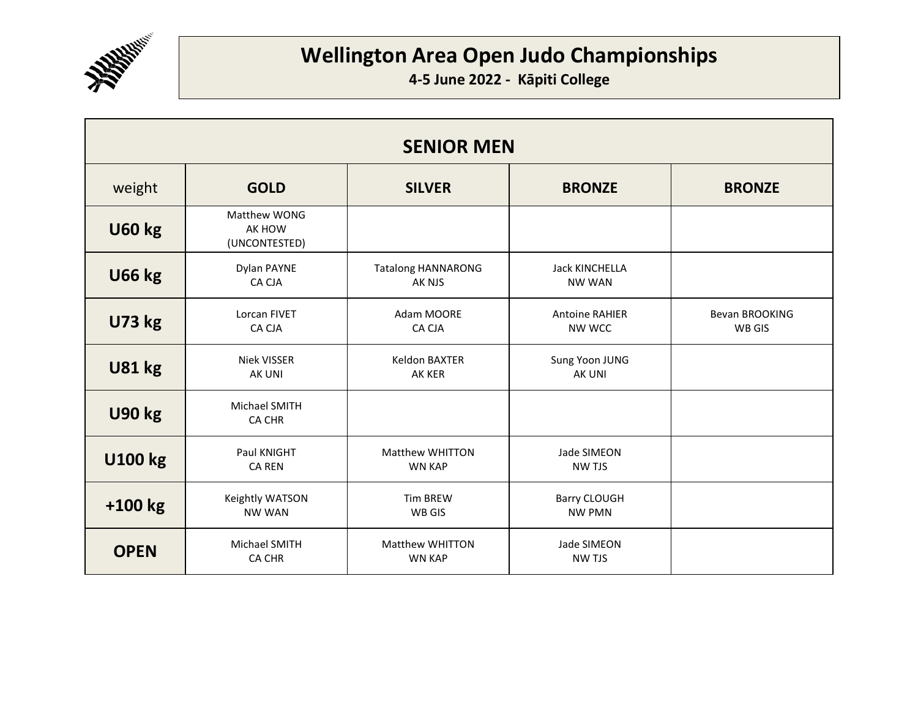

| <b>SENIOR MEN</b> |                                         |                                         |                                        |                                 |
|-------------------|-----------------------------------------|-----------------------------------------|----------------------------------------|---------------------------------|
| weight            | <b>GOLD</b>                             | <b>SILVER</b>                           | <b>BRONZE</b>                          | <b>BRONZE</b>                   |
| <b>U60 kg</b>     | Matthew WONG<br>AK HOW<br>(UNCONTESTED) |                                         |                                        |                                 |
| <b>U66 kg</b>     | Dylan PAYNE<br>CA CJA                   | <b>Tatalong HANNARONG</b><br>AK NJS     | <b>Jack KINCHELLA</b><br><b>NW WAN</b> |                                 |
| <b>U73 kg</b>     | Lorcan FIVET<br>CA CJA                  | Adam MOORE<br>CA CJA                    | <b>Antoine RAHIER</b><br>NW WCC        | <b>Bevan BROOKING</b><br>WB GIS |
| <b>U81 kg</b>     | Niek VISSER<br>AK UNI                   | Keldon BAXTER<br>AK KER                 | Sung Yoon JUNG<br><b>AK UNI</b>        |                                 |
| <b>U90 kg</b>     | <b>Michael SMITH</b><br>CA CHR          |                                         |                                        |                                 |
| <b>U100 kg</b>    | Paul KNIGHT<br><b>CA REN</b>            | <b>Matthew WHITTON</b><br><b>WN KAP</b> | Jade SIMEON<br><b>NW TJS</b>           |                                 |
| $+100$ kg         | Keightly WATSON<br><b>NW WAN</b>        | <b>Tim BREW</b><br>WB GIS               | <b>Barry CLOUGH</b><br><b>NW PMN</b>   |                                 |
| <b>OPEN</b>       | Michael SMITH<br><b>CA CHR</b>          | <b>Matthew WHITTON</b><br><b>WN KAP</b> | Jade SIMEON<br><b>NW TJS</b>           |                                 |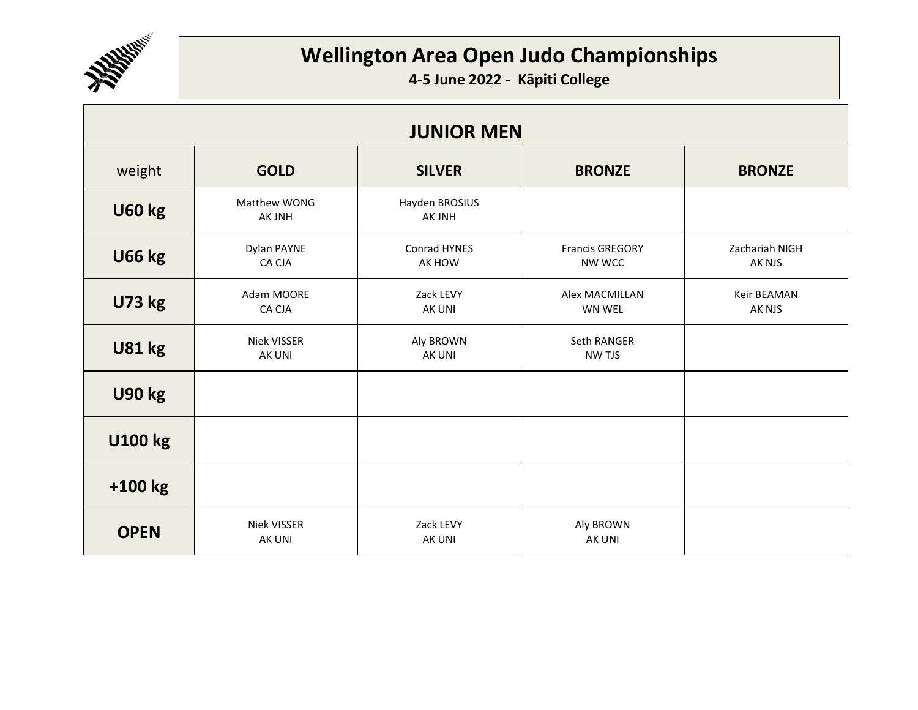

| <b>JUNIOR MEN</b> |                              |                            |                                  |                          |  |
|-------------------|------------------------------|----------------------------|----------------------------------|--------------------------|--|
| weight            | <b>GOLD</b>                  | <b>SILVER</b>              | <b>BRONZE</b>                    | <b>BRONZE</b>            |  |
| <b>U60 kg</b>     | Matthew WONG<br>AK JNH       | Hayden BROSIUS<br>AK JNH   |                                  |                          |  |
| <b>U66 kg</b>     | Dylan PAYNE<br>CA CJA        | Conrad HYNES<br>AK HOW     | <b>Francis GREGORY</b><br>NW WCC | Zachariah NIGH<br>AK NJS |  |
| <b>U73 kg</b>     | Adam MOORE<br>CA CJA         | Zack LEVY<br>AK UNI        | <b>Alex MACMILLAN</b><br>WN WEL  | Keir BEAMAN<br>AK NJS    |  |
| <b>U81 kg</b>     | Niek VISSER<br>AK UNI        | Aly BROWN<br>AK UNI        | Seth RANGER<br>NW TJS            |                          |  |
| <b>U90 kg</b>     |                              |                            |                                  |                          |  |
| <b>U100 kg</b>    |                              |                            |                                  |                          |  |
| $+100$ kg         |                              |                            |                                  |                          |  |
| <b>OPEN</b>       | Niek VISSER<br><b>AK UNI</b> | Zack LEVY<br><b>AK UNI</b> | Aly BROWN<br>AK UNI              |                          |  |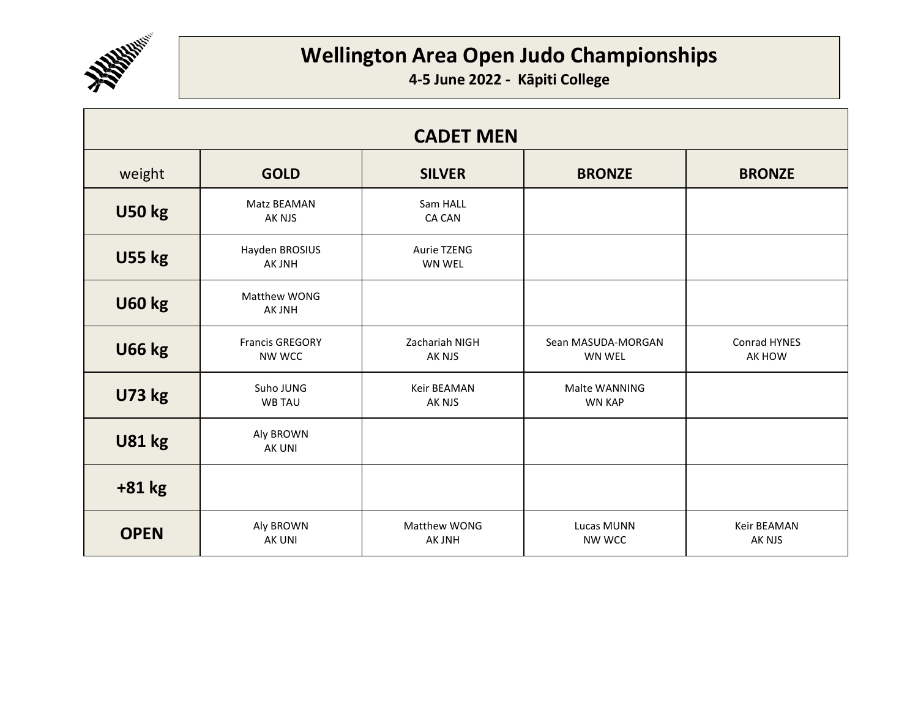

| <b>CADET MEN</b> |                                  |                           |                                     |                              |
|------------------|----------------------------------|---------------------------|-------------------------------------|------------------------------|
| weight           | <b>GOLD</b>                      | <b>SILVER</b>             | <b>BRONZE</b>                       | <b>BRONZE</b>                |
| <b>U50 kg</b>    | Matz BEAMAN<br>AK NJS            | Sam HALL<br><b>CA CAN</b> |                                     |                              |
| <b>U55 kg</b>    | Hayden BROSIUS<br>AK JNH         | Aurie TZENG<br>WN WEL     |                                     |                              |
| <b>U60 kg</b>    | Matthew WONG<br>AK JNH           |                           |                                     |                              |
| <b>U66 kg</b>    | <b>Francis GREGORY</b><br>NW WCC | Zachariah NIGH<br>AK NJS  | Sean MASUDA-MORGAN<br><b>WN WEL</b> | Conrad HYNES<br>AK HOW       |
| <b>U73 kg</b>    | Suho JUNG<br><b>WB TAU</b>       | Keir BEAMAN<br>AK NJS     | Malte WANNING<br><b>WN KAP</b>      |                              |
| <b>U81 kg</b>    | Aly BROWN<br>AK UNI              |                           |                                     |                              |
| $+81$ kg         |                                  |                           |                                     |                              |
| <b>OPEN</b>      | Aly BROWN<br>AK UNI              | Matthew WONG<br>AK JNH    | Lucas MUNN<br>NW WCC                | <b>Keir BEAMAN</b><br>AK NJS |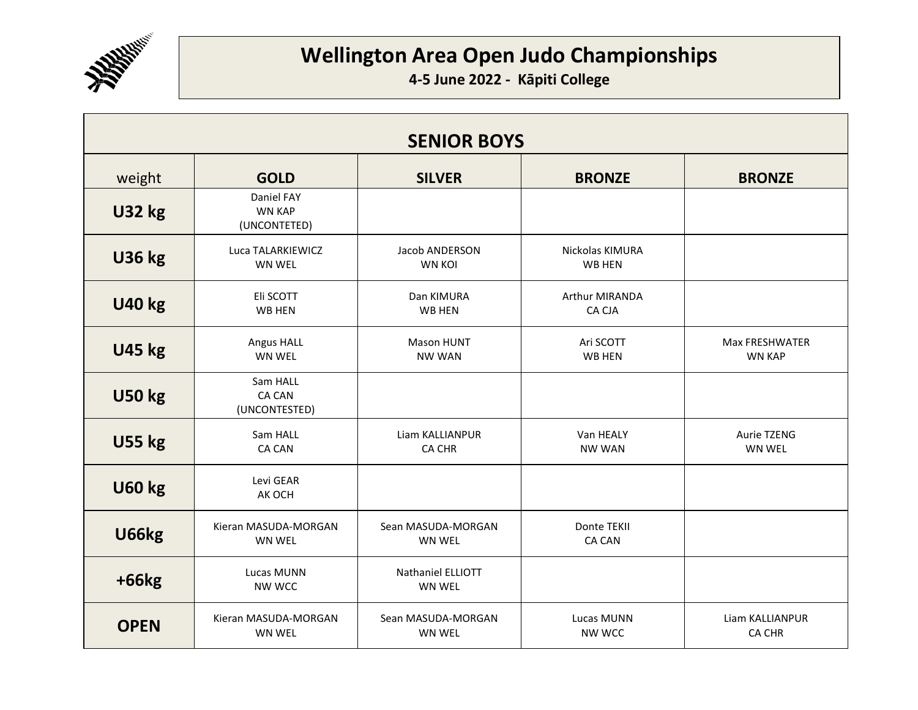

| <b>SENIOR BOYS</b> |                                             |                                    |                                 |                                        |
|--------------------|---------------------------------------------|------------------------------------|---------------------------------|----------------------------------------|
| weight             | <b>GOLD</b>                                 | <b>SILVER</b>                      | <b>BRONZE</b>                   | <b>BRONZE</b>                          |
| <b>U32 kg</b>      | Daniel FAY<br><b>WN KAP</b><br>(UNCONTETED) |                                    |                                 |                                        |
| <b>U36 kg</b>      | Luca TALARKIEWICZ<br><b>WN WEL</b>          | Jacob ANDERSON<br><b>WN KOI</b>    | Nickolas KIMURA<br>WB HEN       |                                        |
| <b>U40 kg</b>      | Eli SCOTT<br>WB HEN                         | Dan KIMURA<br>WB HEN               | <b>Arthur MIRANDA</b><br>CA CJA |                                        |
| <b>U45 kg</b>      | Angus HALL<br>WN WEL                        | <b>Mason HUNT</b><br><b>NW WAN</b> | Ari SCOTT<br>WB HEN             | <b>Max FRESHWATER</b><br><b>WN KAP</b> |
| <b>U50 kg</b>      | Sam HALL<br><b>CA CAN</b><br>(UNCONTESTED)  |                                    |                                 |                                        |
| <b>U55 kg</b>      | Sam HALL<br><b>CA CAN</b>                   | Liam KALLIANPUR<br><b>CA CHR</b>   | Van HEALY<br><b>NW WAN</b>      | <b>Aurie TZENG</b><br><b>WN WEL</b>    |
| <b>U60 kg</b>      | Levi GEAR<br>AK OCH                         |                                    |                                 |                                        |
| U66kg              | Kieran MASUDA-MORGAN<br>WN WEL              | Sean MASUDA-MORGAN<br>WN WEL       | Donte TEKII<br><b>CA CAN</b>    |                                        |
| $+66kg$            | Lucas MUNN<br>NW WCC                        | Nathaniel ELLIOTT<br><b>WN WEL</b> |                                 |                                        |
| <b>OPEN</b>        | Kieran MASUDA-MORGAN<br><b>WN WEL</b>       | Sean MASUDA-MORGAN<br>WN WEL       | Lucas MUNN<br><b>NW WCC</b>     | Liam KALLIANPUR<br><b>CA CHR</b>       |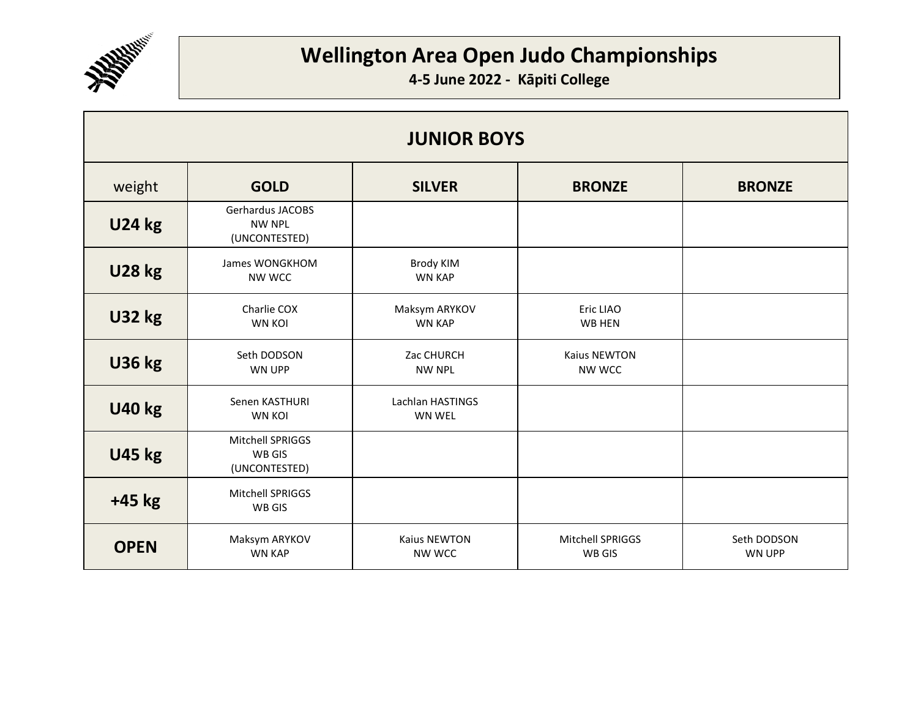

| <b>JUNIOR BOYS</b> |                                                    |                                   |                                   |                              |
|--------------------|----------------------------------------------------|-----------------------------------|-----------------------------------|------------------------------|
| weight             | <b>GOLD</b>                                        | <b>SILVER</b>                     | <b>BRONZE</b>                     | <b>BRONZE</b>                |
| <b>U24 kg</b>      | Gerhardus JACOBS<br><b>NW NPL</b><br>(UNCONTESTED) |                                   |                                   |                              |
| <b>U28 kg</b>      | James WONGKHOM<br>NW WCC                           | <b>Brody KIM</b><br><b>WN KAP</b> |                                   |                              |
| <b>U32 kg</b>      | Charlie COX<br><b>WN KOI</b>                       | Maksym ARYKOV<br><b>WN KAP</b>    | Eric LIAO<br>WB HEN               |                              |
| <b>U36 kg</b>      | Seth DODSON<br><b>WN UPP</b>                       | Zac CHURCH<br><b>NW NPL</b>       | <b>Kaius NEWTON</b><br>NW WCC     |                              |
| <b>U40 kg</b>      | Senen KASTHURI<br><b>WN KOL</b>                    | Lachlan HASTINGS<br><b>WN WEL</b> |                                   |                              |
| <b>U45 kg</b>      | Mitchell SPRIGGS<br>WB GIS<br>(UNCONTESTED)        |                                   |                                   |                              |
| $+45$ kg           | Mitchell SPRIGGS<br>WB GIS                         |                                   |                                   |                              |
| <b>OPEN</b>        | Maksym ARYKOV<br><b>WN KAP</b>                     | Kaius NEWTON<br>NW WCC            | <b>Mitchell SPRIGGS</b><br>WB GIS | Seth DODSON<br><b>WN UPP</b> |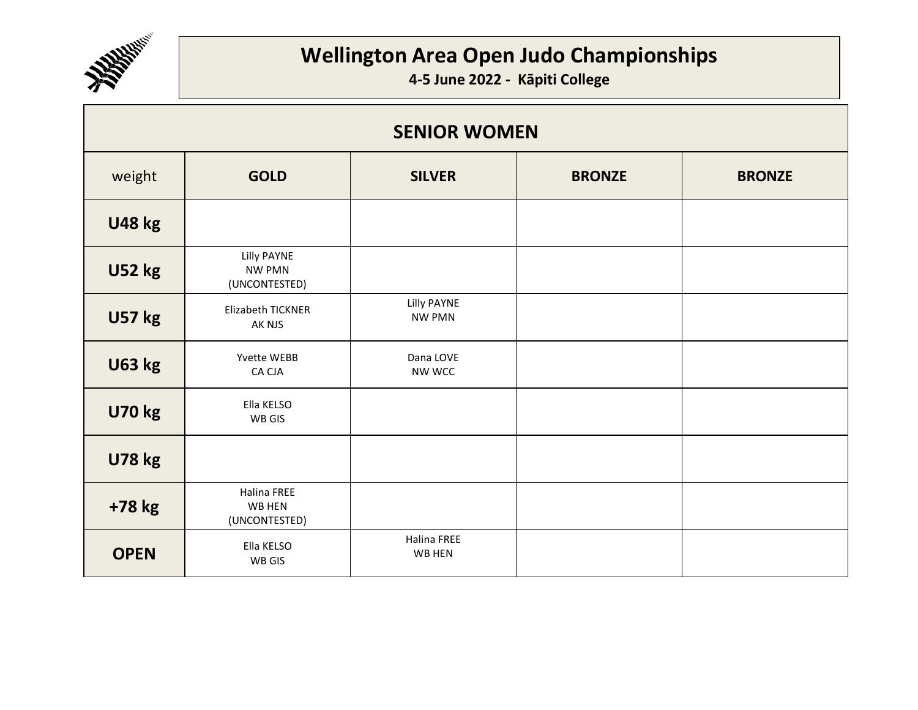

| <b>SENIOR WOMEN</b> |                                               |                              |               |               |
|---------------------|-----------------------------------------------|------------------------------|---------------|---------------|
| weight              | <b>GOLD</b>                                   | <b>SILVER</b>                | <b>BRONZE</b> | <b>BRONZE</b> |
| <b>U48 kg</b>       |                                               |                              |               |               |
| <b>U52 kg</b>       | Lilly PAYNE<br><b>NW PMN</b><br>(UNCONTESTED) |                              |               |               |
| <b>U57 kg</b>       | Elizabeth TICKNER<br>AK NJS                   | Lilly PAYNE<br><b>NW PMN</b> |               |               |
| <b>U63 kg</b>       | Yvette WEBB<br>CA CJA                         | Dana LOVE<br>NW WCC          |               |               |
| <b>U70 kg</b>       | Ella KELSO<br>WB GIS                          |                              |               |               |
| <b>U78 kg</b>       |                                               |                              |               |               |
| +78 kg              | <b>Halina FREE</b><br>WB HEN<br>(UNCONTESTED) |                              |               |               |
| <b>OPEN</b>         | Ella KELSO<br>WB GIS                          | Halina FREE<br>WB HEN        |               |               |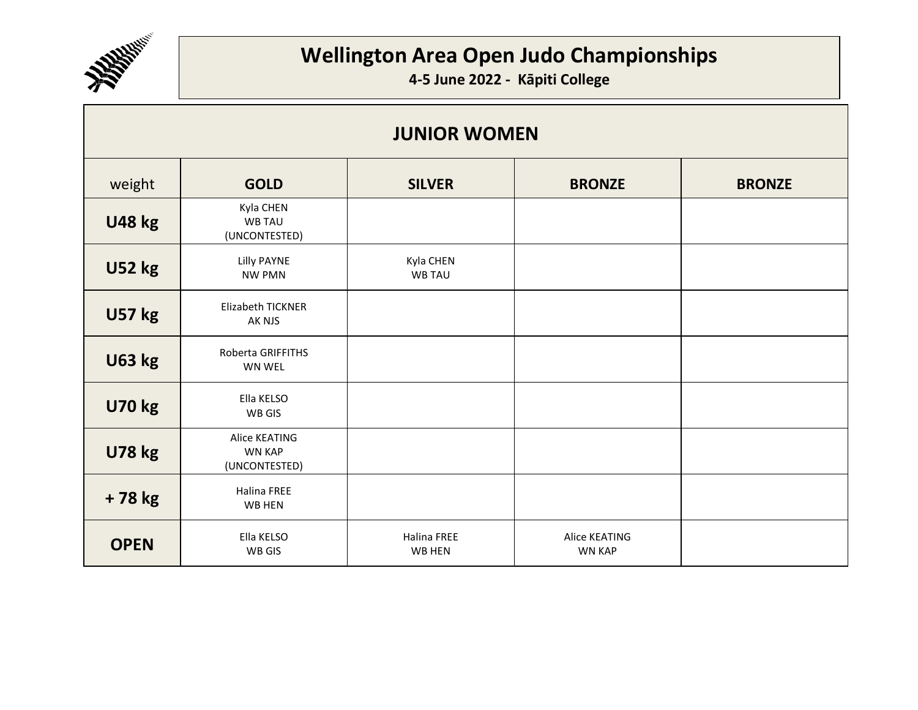

| <b>JUNIOR WOMEN</b> |                                                 |                              |                                |               |
|---------------------|-------------------------------------------------|------------------------------|--------------------------------|---------------|
| weight              | <b>GOLD</b>                                     | <b>SILVER</b>                | <b>BRONZE</b>                  | <b>BRONZE</b> |
| <b>U48 kg</b>       | Kyla CHEN<br><b>WB TAU</b><br>(UNCONTESTED)     |                              |                                |               |
| <b>U52 kg</b>       | Lilly PAYNE<br><b>NW PMN</b>                    | Kyla CHEN<br><b>WB TAU</b>   |                                |               |
| <b>U57 kg</b>       | <b>Elizabeth TICKNER</b><br>AK NJS              |                              |                                |               |
| <b>U63 kg</b>       | Roberta GRIFFITHS<br>WN WEL                     |                              |                                |               |
| <b>U70 kg</b>       | Ella KELSO<br>WB GIS                            |                              |                                |               |
| <b>U78 kg</b>       | Alice KEATING<br><b>WN KAP</b><br>(UNCONTESTED) |                              |                                |               |
| +78 kg              | Halina FREE<br>WB HEN                           |                              |                                |               |
| <b>OPEN</b>         | Ella KELSO<br>WB GIS                            | <b>Halina FREE</b><br>WB HEN | Alice KEATING<br><b>WN KAP</b> |               |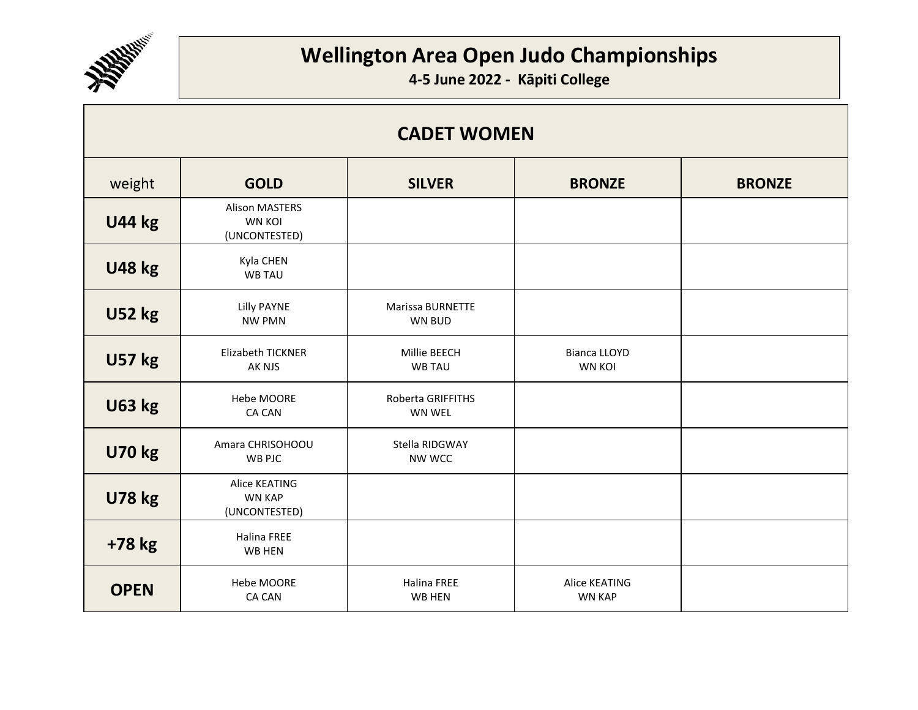

| <b>CADET WOMEN</b> |                                                         |                                          |                                      |               |
|--------------------|---------------------------------------------------------|------------------------------------------|--------------------------------------|---------------|
| weight             | <b>GOLD</b>                                             | <b>SILVER</b>                            | <b>BRONZE</b>                        | <b>BRONZE</b> |
| <b>U44 kg</b>      | <b>Alison MASTERS</b><br><b>WN KOI</b><br>(UNCONTESTED) |                                          |                                      |               |
| <b>U48 kg</b>      | Kyla CHEN<br><b>WB TAU</b>                              |                                          |                                      |               |
| <b>U52 kg</b>      | Lilly PAYNE<br><b>NW PMN</b>                            | <b>Marissa BURNETTE</b><br><b>WN BUD</b> |                                      |               |
| <b>U57 kg</b>      | Elizabeth TICKNER<br>AK NJS                             | Millie BEECH<br><b>WB TAU</b>            | <b>Bianca LLOYD</b><br><b>WN KOI</b> |               |
| <b>U63 kg</b>      | Hebe MOORE<br><b>CA CAN</b>                             | Roberta GRIFFITHS<br>WN WEL              |                                      |               |
| <b>U70 kg</b>      | Amara CHRISOHOOU<br>WB PJC                              | Stella RIDGWAY<br>NW WCC                 |                                      |               |
| <b>U78 kg</b>      | Alice KEATING<br><b>WN KAP</b><br>(UNCONTESTED)         |                                          |                                      |               |
| +78 kg             | <b>Halina FREE</b><br>WB HEN                            |                                          |                                      |               |
| <b>OPEN</b>        | Hebe MOORE<br><b>CA CAN</b>                             | <b>Halina FREE</b><br>WB HEN             | Alice KEATING<br><b>WN KAP</b>       |               |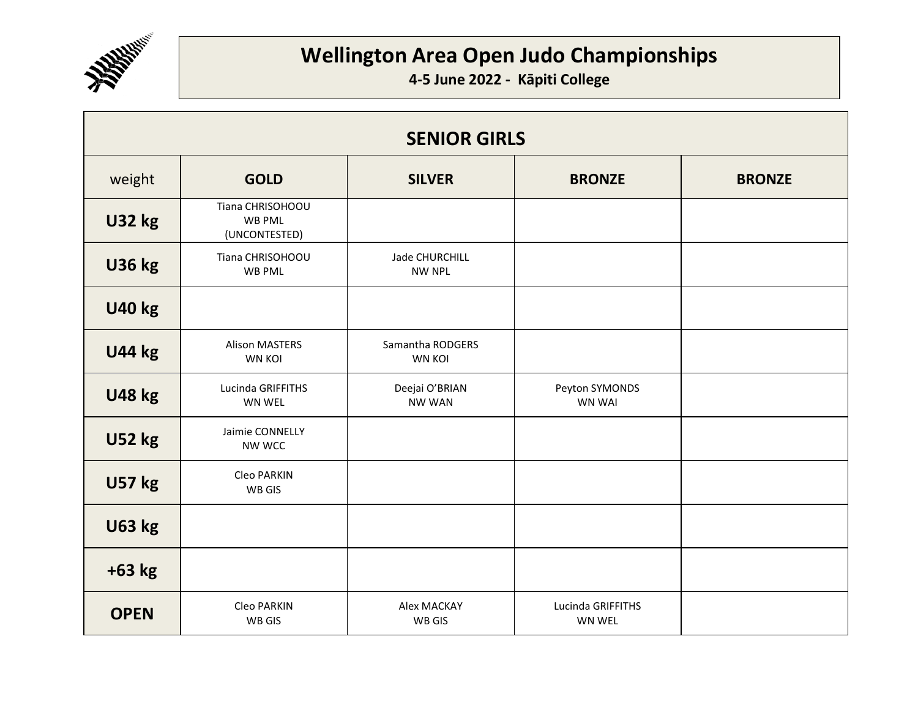

| <b>SENIOR GIRLS</b> |                                                    |                                        |                                 |               |
|---------------------|----------------------------------------------------|----------------------------------------|---------------------------------|---------------|
| weight              | <b>GOLD</b>                                        | <b>SILVER</b>                          | <b>BRONZE</b>                   | <b>BRONZE</b> |
| <b>U32 kg</b>       | Tiana CHRISOHOOU<br><b>WB PML</b><br>(UNCONTESTED) |                                        |                                 |               |
| <b>U36 kg</b>       | Tiana CHRISOHOOU<br>WB PML                         | <b>Jade CHURCHILL</b><br><b>NW NPL</b> |                                 |               |
| <b>U40 kg</b>       |                                                    |                                        |                                 |               |
| <b>U44 kg</b>       | <b>Alison MASTERS</b><br><b>WN KOI</b>             | Samantha RODGERS<br><b>WN KOI</b>      |                                 |               |
| <b>U48 kg</b>       | Lucinda GRIFFITHS<br>WN WEL                        | Deejai O'BRIAN<br><b>NW WAN</b>        | Peyton SYMONDS<br><b>WN WAI</b> |               |
| <b>U52 kg</b>       | Jaimie CONNELLY<br>NW WCC                          |                                        |                                 |               |
| <b>U57 kg</b>       | Cleo PARKIN<br>WB GIS                              |                                        |                                 |               |
| <b>U63 kg</b>       |                                                    |                                        |                                 |               |
| $+63$ kg            |                                                    |                                        |                                 |               |
| <b>OPEN</b>         | Cleo PARKIN<br><b>WB GIS</b>                       | Alex MACKAY<br><b>WB GIS</b>           | Lucinda GRIFFITHS<br>WN WEL     |               |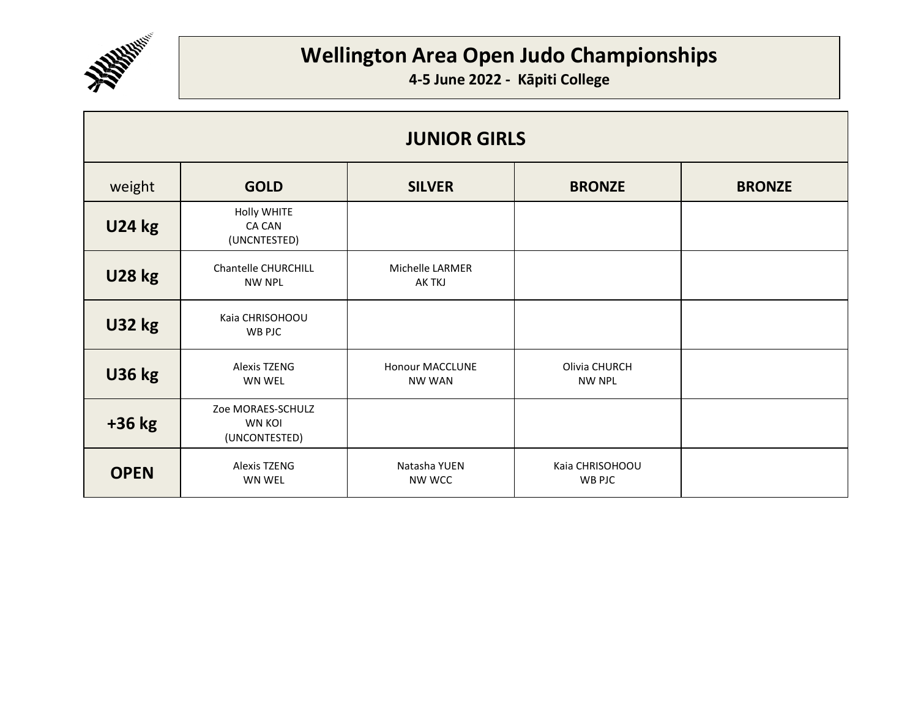

| <b>JUNIOR GIRLS</b> |                                                     |                                         |                                  |               |
|---------------------|-----------------------------------------------------|-----------------------------------------|----------------------------------|---------------|
| weight              | <b>GOLD</b>                                         | <b>SILVER</b>                           | <b>BRONZE</b>                    | <b>BRONZE</b> |
| <b>U24 kg</b>       | Holly WHITE<br>CA CAN<br>(UNCNTESTED)               |                                         |                                  |               |
| <b>U28 kg</b>       | Chantelle CHURCHILL<br><b>NW NPL</b>                | Michelle LARMER<br>AK TKJ               |                                  |               |
| <b>U32 kg</b>       | Kaia CHRISOHOOU<br>WB PJC                           |                                         |                                  |               |
| <b>U36 kg</b>       | Alexis TZENG<br><b>WN WEL</b>                       | <b>Honour MACCLUNE</b><br><b>NW WAN</b> | Olivia CHURCH<br><b>NW NPL</b>   |               |
| $+36$ kg            | Zoe MORAES-SCHULZ<br><b>WN KOI</b><br>(UNCONTESTED) |                                         |                                  |               |
| <b>OPEN</b>         | <b>Alexis TZENG</b><br><b>WN WEL</b>                | Natasha YUEN<br>NW WCC                  | Kaia CHRISOHOOU<br><b>WB PJC</b> |               |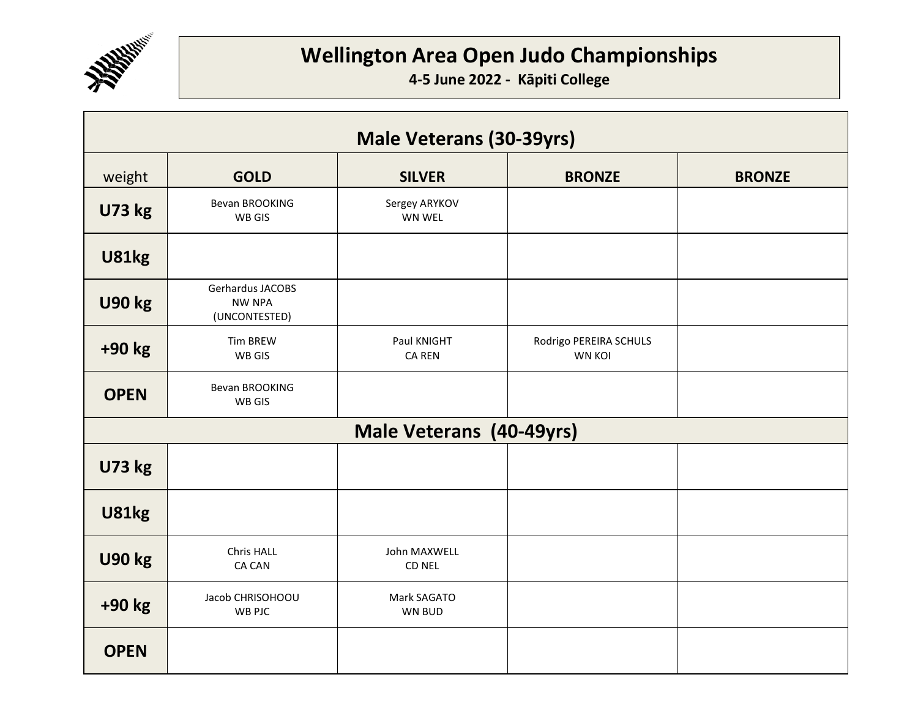

| <b>Male Veterans (30-39yrs)</b> |                                                    |                              |                                         |               |
|---------------------------------|----------------------------------------------------|------------------------------|-----------------------------------------|---------------|
| weight                          | <b>GOLD</b>                                        | <b>SILVER</b>                | <b>BRONZE</b>                           | <b>BRONZE</b> |
| <b>U73 kg</b>                   | Bevan BROOKING<br>WB GIS                           | Sergey ARYKOV<br>WN WEL      |                                         |               |
| <b>U81kg</b>                    |                                                    |                              |                                         |               |
| <b>U90 kg</b>                   | Gerhardus JACOBS<br><b>NW NPA</b><br>(UNCONTESTED) |                              |                                         |               |
| +90 kg                          | <b>Tim BREW</b><br>WB GIS                          | Paul KNIGHT<br><b>CA REN</b> | Rodrigo PEREIRA SCHULS<br><b>WN KOI</b> |               |
| <b>OPEN</b>                     | <b>Bevan BROOKING</b><br>WB GIS                    |                              |                                         |               |
|                                 |                                                    | Male Veterans (40-49yrs)     |                                         |               |
| <b>U73 kg</b>                   |                                                    |                              |                                         |               |
| <b>U81kg</b>                    |                                                    |                              |                                         |               |
| <b>U90 kg</b>                   | Chris HALL<br>CA CAN                               | John MAXWELL<br>CD NEL       |                                         |               |
| +90 kg                          | Jacob CHRISOHOOU<br>WB PJC                         | Mark SAGATO<br>WN BUD        |                                         |               |
| <b>OPEN</b>                     |                                                    |                              |                                         |               |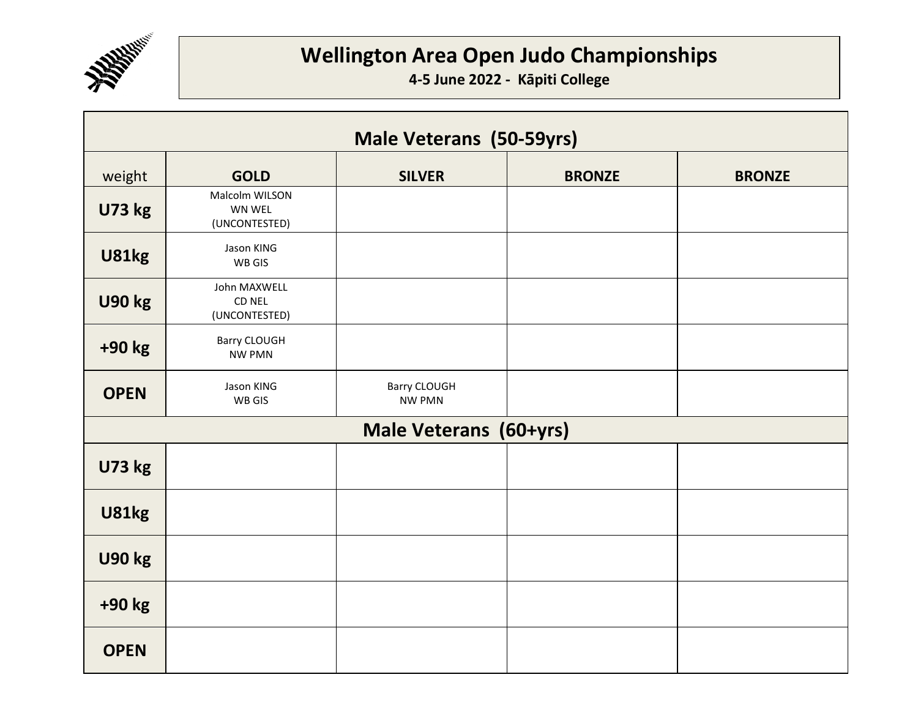

| Male Veterans (50-59yrs) |                                           |                               |               |               |
|--------------------------|-------------------------------------------|-------------------------------|---------------|---------------|
| weight                   | <b>GOLD</b>                               | <b>SILVER</b>                 | <b>BRONZE</b> | <b>BRONZE</b> |
| <b>U73 kg</b>            | Malcolm WILSON<br>WN WEL<br>(UNCONTESTED) |                               |               |               |
| <b>U81kg</b>             | Jason KING<br>WB GIS                      |                               |               |               |
| <b>U90 kg</b>            | John MAXWELL<br>CD NEL<br>(UNCONTESTED)   |                               |               |               |
| +90 kg                   | Barry CLOUGH<br><b>NW PMN</b>             |                               |               |               |
| <b>OPEN</b>              | Jason KING<br>WB GIS                      | Barry CLOUGH<br><b>NW PMN</b> |               |               |
|                          |                                           | Male Veterans (60+yrs)        |               |               |
| <b>U73 kg</b>            |                                           |                               |               |               |
| <b>U81kg</b>             |                                           |                               |               |               |
| <b>U90 kg</b>            |                                           |                               |               |               |
| +90 kg                   |                                           |                               |               |               |
| <b>OPEN</b>              |                                           |                               |               |               |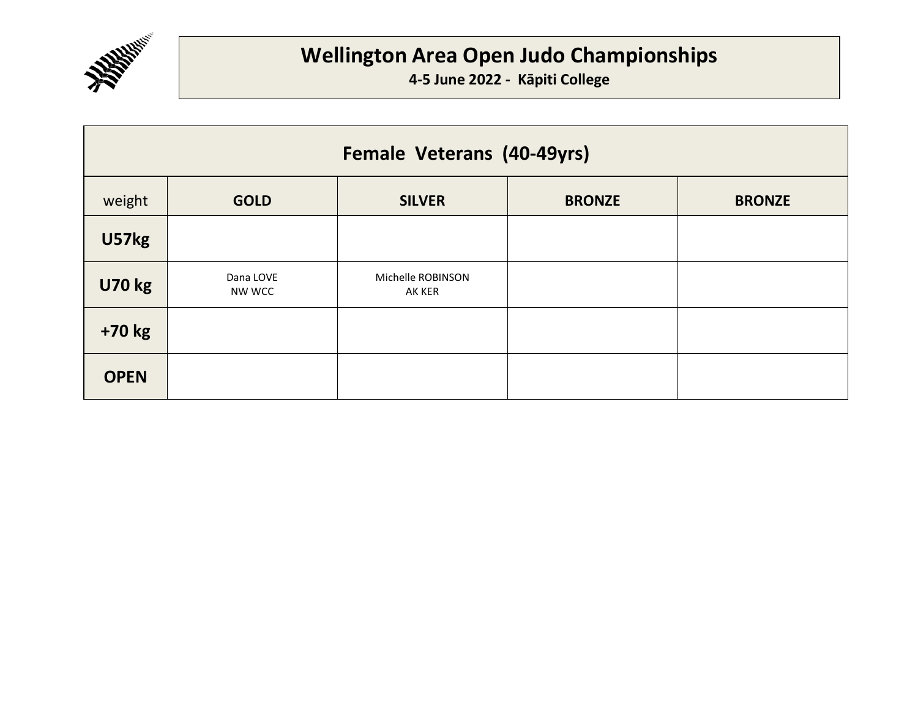

| Female Veterans (40-49yrs) |                     |                             |               |               |
|----------------------------|---------------------|-----------------------------|---------------|---------------|
| weight                     | <b>GOLD</b>         | <b>SILVER</b>               | <b>BRONZE</b> | <b>BRONZE</b> |
| U57kg                      |                     |                             |               |               |
| <b>U70 kg</b>              | Dana LOVE<br>NW WCC | Michelle ROBINSON<br>AK KER |               |               |
| +70 kg                     |                     |                             |               |               |
| <b>OPEN</b>                |                     |                             |               |               |